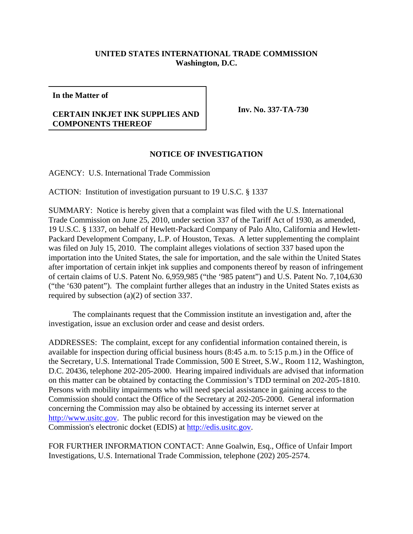## **UNITED STATES INTERNATIONAL TRADE COMMISSION Washington, D.C.**

**In the Matter of**

## **CERTAIN INKJET INK SUPPLIES AND COMPONENTS THEREOF**

**Inv. No. 337-TA-730**

## **NOTICE OF INVESTIGATION**

AGENCY: U.S. International Trade Commission

ACTION: Institution of investigation pursuant to 19 U.S.C. § 1337

SUMMARY: Notice is hereby given that a complaint was filed with the U.S. International Trade Commission on June 25, 2010, under section 337 of the Tariff Act of 1930, as amended, 19 U.S.C. § 1337, on behalf of Hewlett-Packard Company of Palo Alto, California and Hewlett-Packard Development Company, L.P. of Houston, Texas. A letter supplementing the complaint was filed on July 15, 2010. The complaint alleges violations of section 337 based upon the importation into the United States, the sale for importation, and the sale within the United States after importation of certain inkjet ink supplies and components thereof by reason of infringement of certain claims of U.S. Patent No. 6,959,985 ("the '985 patent") and U.S. Patent No. 7,104,630 ("the '630 patent"). The complaint further alleges that an industry in the United States exists as required by subsection (a)(2) of section 337.

The complainants request that the Commission institute an investigation and, after the investigation, issue an exclusion order and cease and desist orders.

ADDRESSES: The complaint, except for any confidential information contained therein, is available for inspection during official business hours (8:45 a.m. to 5:15 p.m.) in the Office of the Secretary, U.S. International Trade Commission, 500 E Street, S.W., Room 112, Washington, D.C. 20436, telephone 202-205-2000. Hearing impaired individuals are advised that information on this matter can be obtained by contacting the Commission's TDD terminal on 202-205-1810. Persons with mobility impairments who will need special assistance in gaining access to the Commission should contact the Office of the Secretary at 202-205-2000. General information concerning the Commission may also be obtained by accessing its internet server at http://www.usitc.gov. The public record for this investigation may be viewed on the Commission's electronic docket (EDIS) at http://edis.usitc.gov.

FOR FURTHER INFORMATION CONTACT: Anne Goalwin, Esq., Office of Unfair Import Investigations, U.S. International Trade Commission, telephone (202) 205-2574.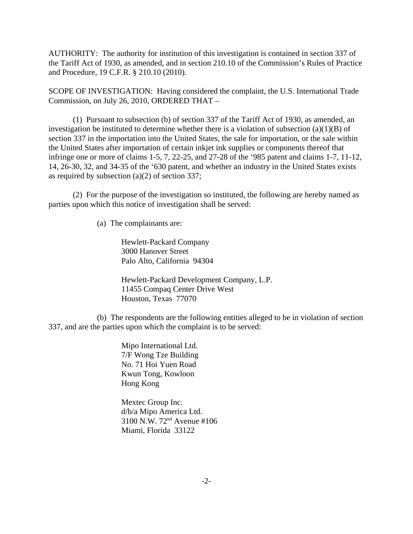AUTHORITY: The authority for institution of this investigation is contained in section 337 of the Tariff Act of 1930, as amended, and in section 210.10 of the Commission's Rules of Practice and Procedure, 19 C.F.R. § 210.10 (2010).

SCOPE OF INVESTIGATION: Having considered the complaint, the U.S. International Trade Commission, on July 26, 2010, ORDERED THAT –

(1) Pursuant to subsection (b) of section 337 of the Tariff Act of 1930, as amended, an investigation be instituted to determine whether there is a violation of subsection  $(a)(1)(B)$  of section 337 in the importation into the United States, the sale for importation, or the sale within the United States after importation of certain inkjet ink supplies or components thereof that infringe one or more of claims 1-5, 7, 22-25, and 27-28 of the '985 patent and claims 1-7, 11-12, 14, 26-30, 32, and 34-35 of the '630 patent, and whether an industry in the United States exists as required by subsection (a)(2) of section 337;

(2) For the purpose of the investigation so instituted, the following are hereby named as parties upon which this notice of investigation shall be served:

(a) The complainants are:

Hewlett-Packard Company 3000 Hanover Street Palo Alto, California 94304

Hewlett-Packard Development Company, L.P. 11455 Compaq Center Drive West Houston, Texas 77070

(b) The respondents are the following entities alleged to be in violation of section 337, and are the parties upon which the complaint is to be served:

> Mipo International Ltd. 7/F Wong Tze Building No. 71 Hoi Yuen Road Kwun Tong, Kowloon Hong Kong

Mextec Group Inc. d/b/a Mipo America Ltd. 3100 N.W. 72nd Avenue #106 Miami, Florida 33122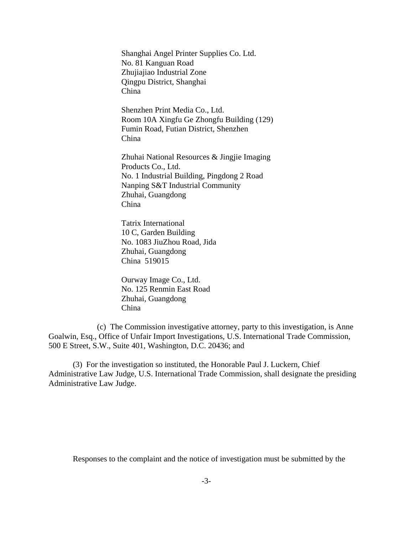Shanghai Angel Printer Supplies Co. Ltd. No. 81 Kanguan Road Zhujiajiao Industrial Zone Qingpu District, Shanghai China

Shenzhen Print Media Co., Ltd. Room 10A Xingfu Ge Zhongfu Building (129) Fumin Road, Futian District, Shenzhen China

Zhuhai National Resources & Jingjie Imaging Products Co., Ltd. No. 1 Industrial Building, Pingdong 2 Road Nanping S&T Industrial Community Zhuhai, Guangdong China

Tatrix International 10 C, Garden Building No. 1083 JiuZhou Road, Jida Zhuhai, Guangdong China 519015

Ourway Image Co., Ltd. No. 125 Renmin East Road Zhuhai, Guangdong China

(c) The Commission investigative attorney, party to this investigation, is Anne Goalwin, Esq., Office of Unfair Import Investigations, U.S. International Trade Commission, 500 E Street, S.W., Suite 401, Washington, D.C. 20436; and

(3) For the investigation so instituted, the Honorable Paul J. Luckern, Chief Administrative Law Judge, U.S. International Trade Commission, shall designate the presiding Administrative Law Judge.

Responses to the complaint and the notice of investigation must be submitted by the